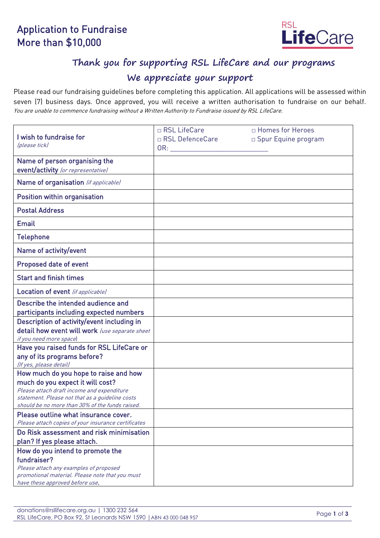# Application to Fundraise More than \$10,000



# **Thank you for supporting RSL LifeCare and our programs**

### **We appreciate your support**

Please read our fundraising guidelines before completing this application. All applications will be assessed within seven (7) business days. Once approved, you will receive a written authorisation to fundraise on our behalf. You are unable to commence fundraising without a Written Authority to Fundraise issued by RSL LifeCare.

|                                                                                                 | □ RSL LifeCare            | □ Homes for Heroes    |
|-------------------------------------------------------------------------------------------------|---------------------------|-----------------------|
| I wish to fundraise for                                                                         | □ RSL DefenceCare         | □ Spur Equine program |
| (please tick)                                                                                   | $OR:$ and $OR:$ and $OR:$ |                       |
| Name of person organising the                                                                   |                           |                       |
| event/activity (or representative)                                                              |                           |                       |
| Name of organisation (if applicable)                                                            |                           |                       |
|                                                                                                 |                           |                       |
| Position within organisation                                                                    |                           |                       |
| <b>Postal Address</b>                                                                           |                           |                       |
| <b>Email</b>                                                                                    |                           |                       |
| <b>Telephone</b>                                                                                |                           |                       |
| Name of activity/event                                                                          |                           |                       |
| Proposed date of event                                                                          |                           |                       |
| <b>Start and finish times</b>                                                                   |                           |                       |
| Location of event (if applicable)                                                               |                           |                       |
| Describe the intended audience and                                                              |                           |                       |
| participants including expected numbers                                                         |                           |                       |
| Description of activity/event including in                                                      |                           |                       |
| detail how event will work (use separate sheet                                                  |                           |                       |
| if you need more space)                                                                         |                           |                       |
| Have you raised funds for RSL LifeCare or                                                       |                           |                       |
| any of its programs before?                                                                     |                           |                       |
| (If yes, please detail)<br>How much do you hope to raise and how                                |                           |                       |
| much do you expect it will cost?                                                                |                           |                       |
| Please attach draft income and expenditure                                                      |                           |                       |
| statement. Please not that as a quideline costs                                                 |                           |                       |
| should be no more than 30% of the funds raised.                                                 |                           |                       |
| Please outline what insurance cover.                                                            |                           |                       |
| Please attach copies of your insurance certificates<br>Do Risk assessment and risk minimisation |                           |                       |
| plan? If yes please attach.                                                                     |                           |                       |
| How do you intend to promote the                                                                |                           |                       |
| fundraiser?                                                                                     |                           |                       |
| Please attach any examples of proposed                                                          |                           |                       |
| promotional material. Please note that you must                                                 |                           |                       |
| have these approved before use.                                                                 |                           |                       |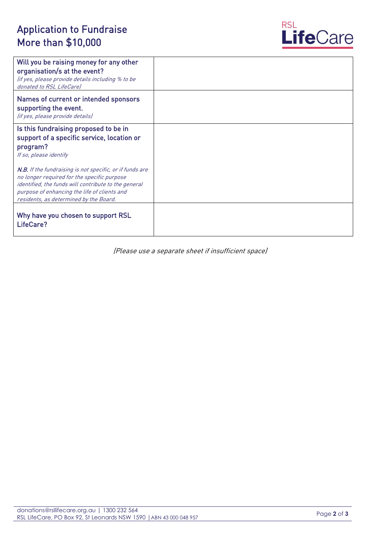# Application to Fundraise More than \$10,000



| Will you be raising money for any other<br>organisation/s at the event?<br>(if yes, please provide details including % to be<br>donated to RSL LifeCarel                                                                                                         |  |
|------------------------------------------------------------------------------------------------------------------------------------------------------------------------------------------------------------------------------------------------------------------|--|
| Names of current or intended sponsors<br>supporting the event.<br>(if yes, please provide details)                                                                                                                                                               |  |
| Is this fundraising proposed to be in<br>support of a specific service, location or<br>program?<br>If so, please identify                                                                                                                                        |  |
| <b>N.B.</b> If the fundraising is not specific, or if funds are<br>no longer required for the specific purpose<br>identified, the funds will contribute to the general<br>purpose of enhancing the life of clients and<br>residents, as determined by the Board. |  |
| Why have you chosen to support RSL<br>LifeCare?                                                                                                                                                                                                                  |  |

(Please use a separate sheet if insufficient space)